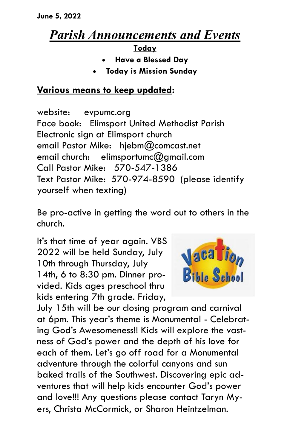## *Parish Announcements and Events*

**Today**

- **Have a Blessed Day**
- **Today is Mission Sunday**

## **Various means to keep updated:**

website: evpumc.org Face book: Elimsport United Methodist Parish Electronic sign at Elimsport church email Pastor Mike: hjebm@comcast.net email church: elimsportumc@gmail.com Call Pastor Mike: 570-547-1386 Text Pastor Mike: 570-974-8590 (please identify yourself when texting)

Be pro-active in getting the word out to others in the church.

It's that time of year again. VBS 2022 will be held Sunday, July 10th through Thursday, July 14th, 6 to 8:30 pm. Dinner provided. Kids ages preschool thru kids entering 7th grade. Friday,



July 15th will be our closing program and carnival at 6pm. This year's theme is Monumental - Celebrating God's Awesomeness!! Kids will explore the vastness of God's power and the depth of his love for each of them. Let's go off road for a Monumental adventure through the colorful canyons and sun baked trails of the Southwest. Discovering epic adventures that will help kids encounter God's power and love!!! Any questions please contact Taryn Myers, Christa McCormick, or Sharon Heintzelman.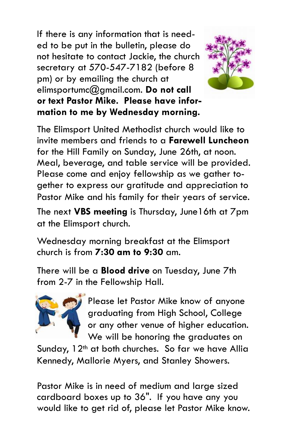If there is any information that is needed to be put in the bulletin, please do not hesitate to contact Jackie, the church secretary at 570-547-7182 (before 8 pm) or by emailing the church at elimsportumc@gmail.com. **Do not call or text Pastor Mike. Please have information to me by Wednesday morning.**



The Elimsport United Methodist church would like to invite members and friends to a **Farewell Luncheon**  for the Hill Family on Sunday, June 26th, at noon. Meal, beverage, and table service will be provided. Please come and enjoy fellowship as we gather together to express our gratitude and appreciation to Pastor Mike and his family for their years of service.

The next **VBS meeting** is Thursday, June16th at 7pm at the Elimsport church.

Wednesday morning breakfast at the Elimsport church is from **7:30 am to 9:30** am.

There will be a **Blood drive** on Tuesday, June 7th from 2-7 in the Fellowship Hall.



Please let Pastor Mike know of anyone graduating from High School, College or any other venue of higher education. We will be honoring the graduates on

Sunday, 12<sup>th</sup> at both churches. So far we have Allia Kennedy, Mallorie Myers, and Stanley Showers.

Pastor Mike is in need of medium and large sized cardboard boxes up to 36". If you have any you would like to get rid of, please let Pastor Mike know.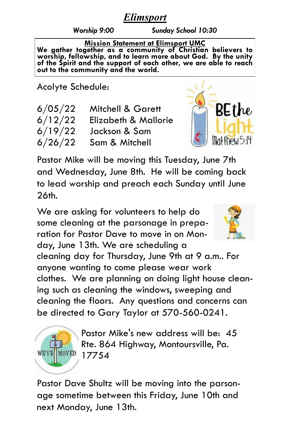## *Elimsport*

*Worship 9:00 Sunday School 10:30*

**Mission Statement at Elimsport UMC We gather together as a community of Christian believers to worship, fellowship, and to learn more about God. By the unity of the Spirit and the support of each other, we are able to reach out to the community and the world.**

Acolyte Schedule:

| 6/05/22 | <b>Mitchell &amp; Garett</b> |
|---------|------------------------------|
| 6/12/22 | Elizabeth & Mallorie         |
| 6/19/22 | Jackson & Sam                |
| 6/26/22 | Sam & Mitchell               |



Pastor Mike will be moving this Tuesday, June 7th and Wednesday, June 8th. He will be coming back to lead worship and preach each Sunday until June 26th.

We are asking for volunteers to help do some cleaning at the parsonage in preparation for Pastor Dave to move in on Monday, June 13th. We are scheduling a



cleaning day for Thursday, June 9th at 9 a.m.. For anyone wanting to come please wear work clothes. We are planning on doing light house cleaning such as cleaning the windows, sweeping and cleaning the floors. Any questions and concerns can be directed to Gary Taylor at 570-560-0241.



Pastor Mike's new address will be: 45 Rte. 864 Highway, Montoursville, Pa. 17754

Pastor Dave Shultz will be moving into the parsonage sometime between this Friday, June 10th and next Monday, June 13th.